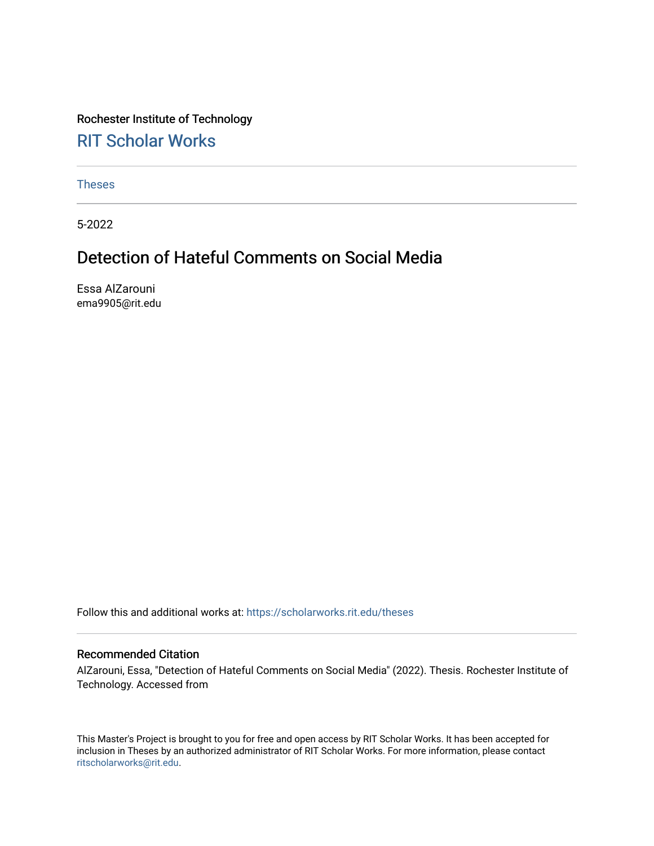Rochester Institute of Technology [RIT Scholar Works](https://scholarworks.rit.edu/)

[Theses](https://scholarworks.rit.edu/theses) 

5-2022

## Detection of Hateful Comments on Social Media

Essa AlZarouni ema9905@rit.edu

Follow this and additional works at: [https://scholarworks.rit.edu/theses](https://scholarworks.rit.edu/theses?utm_source=scholarworks.rit.edu%2Ftheses%2F11176&utm_medium=PDF&utm_campaign=PDFCoverPages) 

### Recommended Citation

AlZarouni, Essa, "Detection of Hateful Comments on Social Media" (2022). Thesis. Rochester Institute of Technology. Accessed from

This Master's Project is brought to you for free and open access by RIT Scholar Works. It has been accepted for inclusion in Theses by an authorized administrator of RIT Scholar Works. For more information, please contact [ritscholarworks@rit.edu](mailto:ritscholarworks@rit.edu).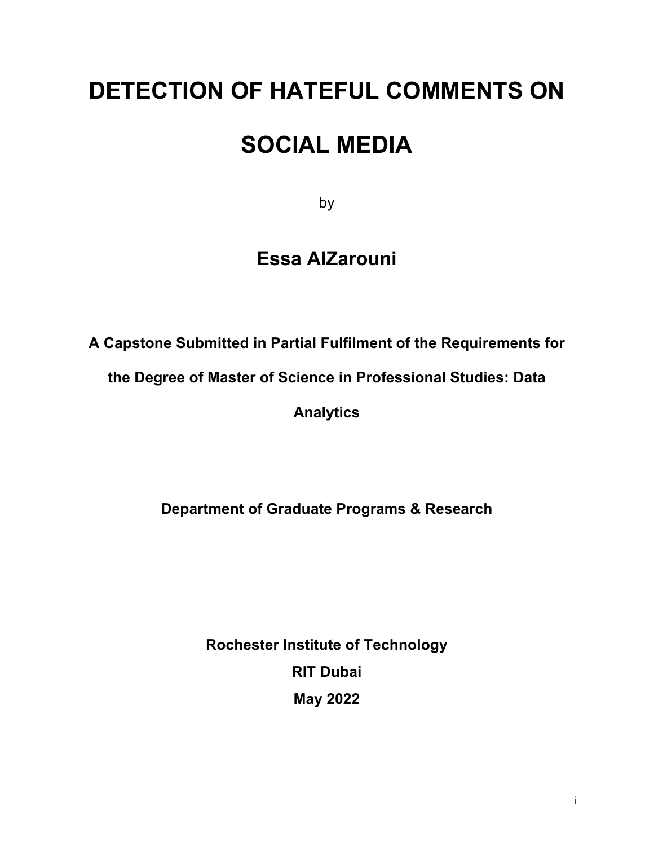# **DETECTION OF HATEFUL COMMENTS ON**

# **SOCIAL MEDIA**

by

## **Essa AlZarouni**

**A Capstone Submitted in Partial Fulfilment of the Requirements for** 

**the Degree of Master of Science in Professional Studies: Data** 

**Analytics**

**Department of Graduate Programs & Research**

**Rochester Institute of Technology RIT Dubai May 2022**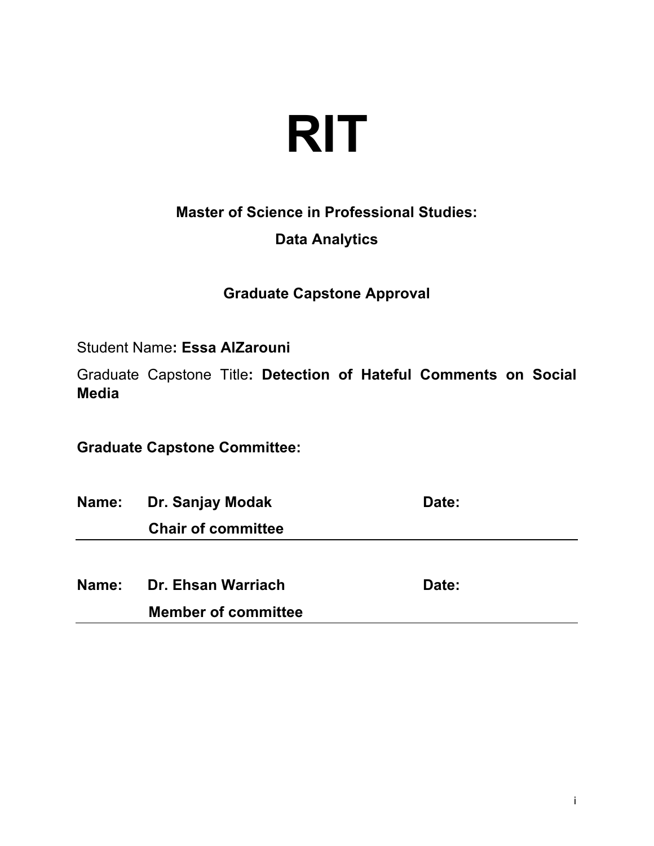

**Master of Science in Professional Studies:**

## **Data Analytics**

**Graduate Capstone Approval** 

Student Name**: Essa AlZarouni**

Graduate Capstone Title**: Detection of Hateful Comments on Social Media**

**Graduate Capstone Committee:**

**Name:** Dr. Sanjay Modak **Date:** Date:  **Chair of committee Name:** Dr. Ehsan Warriach **Date:** Date:

 **Member of committee**

i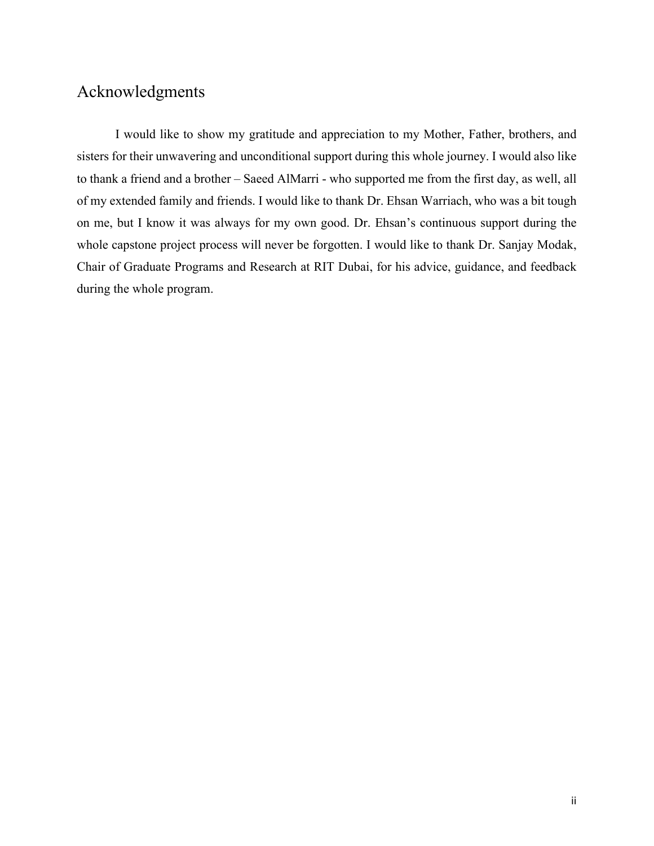## Acknowledgments

I would like to show my gratitude and appreciation to my Mother, Father, brothers, and sisters for their unwavering and unconditional support during this whole journey. I would also like to thank a friend and a brother – Saeed AlMarri - who supported me from the first day, as well, all of my extended family and friends. I would like to thank Dr. Ehsan Warriach, who was a bit tough on me, but I know it was always for my own good. Dr. Ehsan's continuous support during the whole capstone project process will never be forgotten. I would like to thank Dr. Sanjay Modak, Chair of Graduate Programs and Research at RIT Dubai, for his advice, guidance, and feedback during the whole program.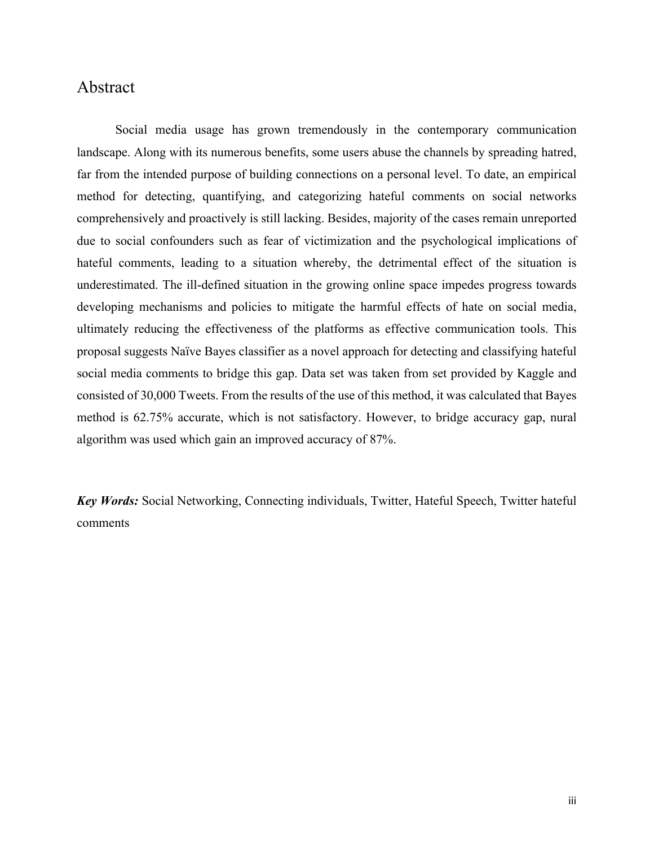## Abstract

Social media usage has grown tremendously in the contemporary communication landscape. Along with its numerous benefits, some users abuse the channels by spreading hatred, far from the intended purpose of building connections on a personal level. To date, an empirical method for detecting, quantifying, and categorizing hateful comments on social networks comprehensively and proactively is still lacking. Besides, majority of the cases remain unreported due to social confounders such as fear of victimization and the psychological implications of hateful comments, leading to a situation whereby, the detrimental effect of the situation is underestimated. The ill-defined situation in the growing online space impedes progress towards developing mechanisms and policies to mitigate the harmful effects of hate on social media, ultimately reducing the effectiveness of the platforms as effective communication tools. This proposal suggests Naïve Bayes classifier as a novel approach for detecting and classifying hateful social media comments to bridge this gap. Data set was taken from set provided by Kaggle and consisted of 30,000 Tweets. From the results of the use of this method, it was calculated that Bayes method is 62.75% accurate, which is not satisfactory. However, to bridge accuracy gap, nural algorithm was used which gain an improved accuracy of 87%.

*Key Words:* Social Networking, Connecting individuals, Twitter, Hateful Speech, Twitter hateful comments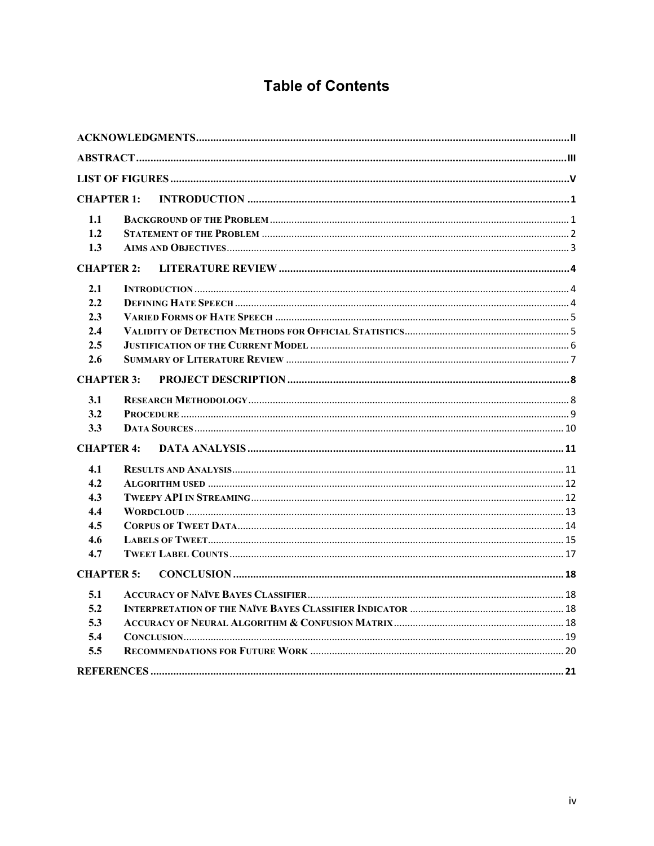## **Table of Contents**

| <b>CHAPTER 1:</b> |  |
|-------------------|--|
| 1.1               |  |
| 1.2               |  |
| 1.3               |  |
| <b>CHAPTER 2:</b> |  |
| 2.1               |  |
| 2.2               |  |
| 2.3               |  |
| 2.4               |  |
| 2.5               |  |
| 2.6               |  |
| <b>CHAPTER 3:</b> |  |
| 3.1               |  |
| 3.2               |  |
| 3.3               |  |
| <b>CHAPTER 4:</b> |  |
| 4.1               |  |
| 4.2               |  |
| 4.3               |  |
| 4.4               |  |
| 4.5               |  |
| 4.6               |  |
| 4.7               |  |
| <b>CHAPTER 5:</b> |  |
| 5.1               |  |
| 5.2               |  |
| 5.3               |  |
| 5.4               |  |
| 5.5               |  |
|                   |  |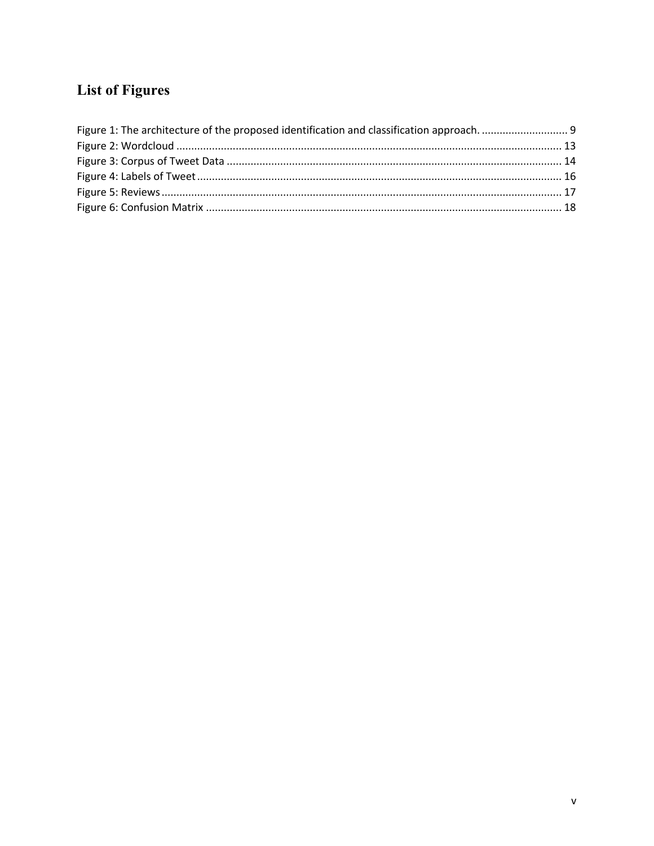## **List of Figures**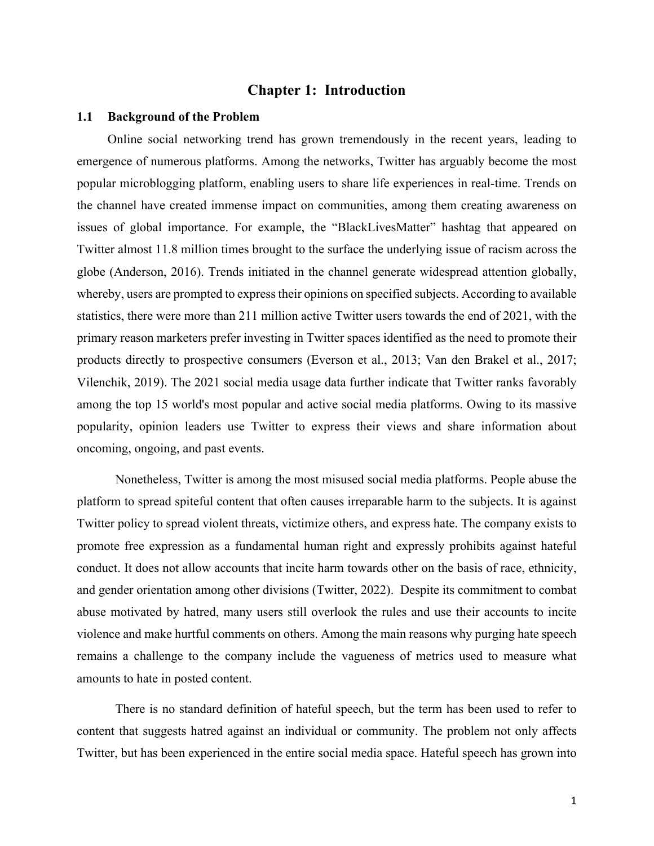## **Chapter 1: Introduction**

### **1.1 Background of the Problem**

Online social networking trend has grown tremendously in the recent years, leading to emergence of numerous platforms. Among the networks, Twitter has arguably become the most popular microblogging platform, enabling users to share life experiences in real-time. Trends on the channel have created immense impact on communities, among them creating awareness on issues of global importance. For example, the "BlackLivesMatter" hashtag that appeared on Twitter almost 11.8 million times brought to the surface the underlying issue of racism across the globe (Anderson, 2016). Trends initiated in the channel generate widespread attention globally, whereby, users are prompted to express their opinions on specified subjects. According to available statistics, there were more than 211 million active Twitter users towards the end of 2021, with the primary reason marketers prefer investing in Twitter spaces identified as the need to promote their products directly to prospective consumers (Everson et al., 2013; Van den Brakel et al., 2017; Vilenchik, 2019). The 2021 social media usage data further indicate that Twitter ranks favorably among the top 15 world's most popular and active social media platforms. Owing to its massive popularity, opinion leaders use Twitter to express their views and share information about oncoming, ongoing, and past events.

Nonetheless, Twitter is among the most misused social media platforms. People abuse the platform to spread spiteful content that often causes irreparable harm to the subjects. It is against Twitter policy to spread violent threats, victimize others, and express hate. The company exists to promote free expression as a fundamental human right and expressly prohibits against hateful conduct. It does not allow accounts that incite harm towards other on the basis of race, ethnicity, and gender orientation among other divisions (Twitter, 2022). Despite its commitment to combat abuse motivated by hatred, many users still overlook the rules and use their accounts to incite violence and make hurtful comments on others. Among the main reasons why purging hate speech remains a challenge to the company include the vagueness of metrics used to measure what amounts to hate in posted content.

There is no standard definition of hateful speech, but the term has been used to refer to content that suggests hatred against an individual or community. The problem not only affects Twitter, but has been experienced in the entire social media space. Hateful speech has grown into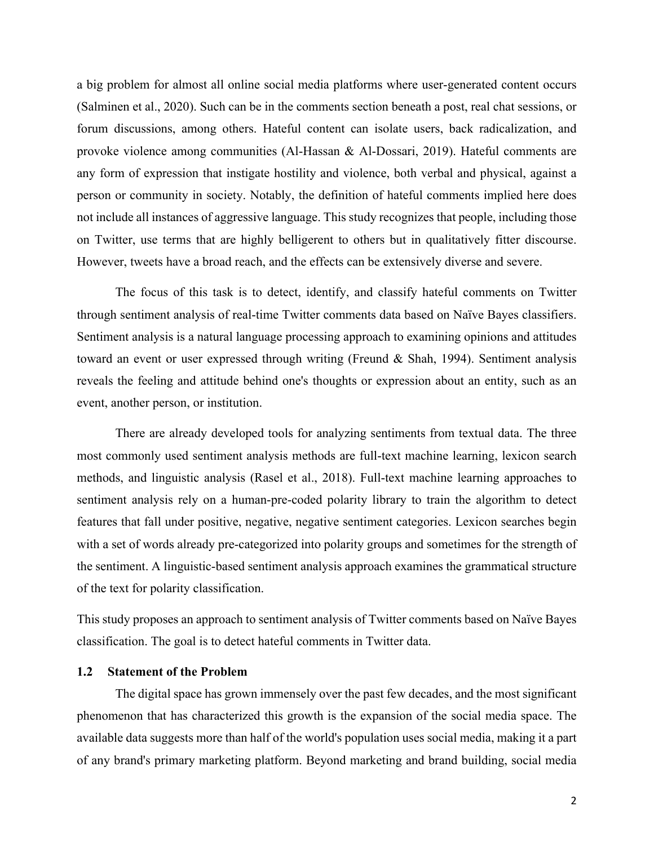a big problem for almost all online social media platforms where user-generated content occurs (Salminen et al., 2020). Such can be in the comments section beneath a post, real chat sessions, or forum discussions, among others. Hateful content can isolate users, back radicalization, and provoke violence among communities (Al-Hassan & Al-Dossari, 2019). Hateful comments are any form of expression that instigate hostility and violence, both verbal and physical, against a person or community in society. Notably, the definition of hateful comments implied here does not include all instances of aggressive language. This study recognizes that people, including those on Twitter, use terms that are highly belligerent to others but in qualitatively fitter discourse. However, tweets have a broad reach, and the effects can be extensively diverse and severe.

The focus of this task is to detect, identify, and classify hateful comments on Twitter through sentiment analysis of real-time Twitter comments data based on Naïve Bayes classifiers. Sentiment analysis is a natural language processing approach to examining opinions and attitudes toward an event or user expressed through writing (Freund & Shah, 1994). Sentiment analysis reveals the feeling and attitude behind one's thoughts or expression about an entity, such as an event, another person, or institution.

There are already developed tools for analyzing sentiments from textual data. The three most commonly used sentiment analysis methods are full-text machine learning, lexicon search methods, and linguistic analysis (Rasel et al., 2018). Full-text machine learning approaches to sentiment analysis rely on a human-pre-coded polarity library to train the algorithm to detect features that fall under positive, negative, negative sentiment categories. Lexicon searches begin with a set of words already pre-categorized into polarity groups and sometimes for the strength of the sentiment. A linguistic-based sentiment analysis approach examines the grammatical structure of the text for polarity classification.

This study proposes an approach to sentiment analysis of Twitter comments based on Naïve Bayes classification. The goal is to detect hateful comments in Twitter data.

## **1.2 Statement of the Problem**

The digital space has grown immensely over the past few decades, and the most significant phenomenon that has characterized this growth is the expansion of the social media space. The available data suggests more than half of the world's population uses social media, making it a part of any brand's primary marketing platform. Beyond marketing and brand building, social media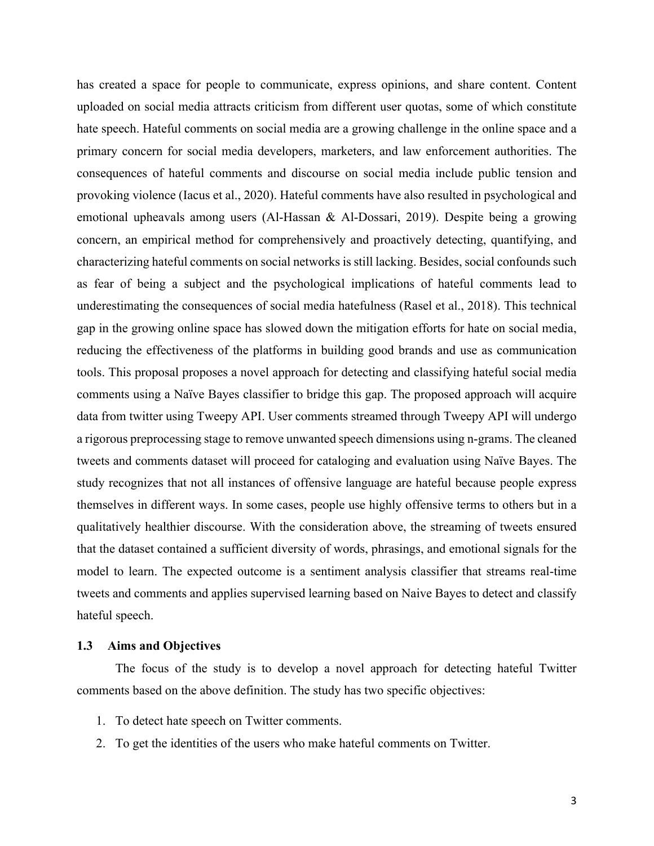has created a space for people to communicate, express opinions, and share content. Content uploaded on social media attracts criticism from different user quotas, some of which constitute hate speech. Hateful comments on social media are a growing challenge in the online space and a primary concern for social media developers, marketers, and law enforcement authorities. The consequences of hateful comments and discourse on social media include public tension and provoking violence (Iacus et al., 2020). Hateful comments have also resulted in psychological and emotional upheavals among users (Al-Hassan & Al-Dossari, 2019). Despite being a growing concern, an empirical method for comprehensively and proactively detecting, quantifying, and characterizing hateful comments on social networks is still lacking. Besides, social confounds such as fear of being a subject and the psychological implications of hateful comments lead to underestimating the consequences of social media hatefulness (Rasel et al., 2018). This technical gap in the growing online space has slowed down the mitigation efforts for hate on social media, reducing the effectiveness of the platforms in building good brands and use as communication tools. This proposal proposes a novel approach for detecting and classifying hateful social media comments using a Naïve Bayes classifier to bridge this gap. The proposed approach will acquire data from twitter using Tweepy API. User comments streamed through Tweepy API will undergo a rigorous preprocessing stage to remove unwanted speech dimensions using n-grams. The cleaned tweets and comments dataset will proceed for cataloging and evaluation using Naïve Bayes. The study recognizes that not all instances of offensive language are hateful because people express themselves in different ways. In some cases, people use highly offensive terms to others but in a qualitatively healthier discourse. With the consideration above, the streaming of tweets ensured that the dataset contained a sufficient diversity of words, phrasings, and emotional signals for the model to learn. The expected outcome is a sentiment analysis classifier that streams real-time tweets and comments and applies supervised learning based on Naive Bayes to detect and classify hateful speech.

## **1.3 Aims and Objectives**

The focus of the study is to develop a novel approach for detecting hateful Twitter comments based on the above definition. The study has two specific objectives:

- 1. To detect hate speech on Twitter comments.
- 2. To get the identities of the users who make hateful comments on Twitter.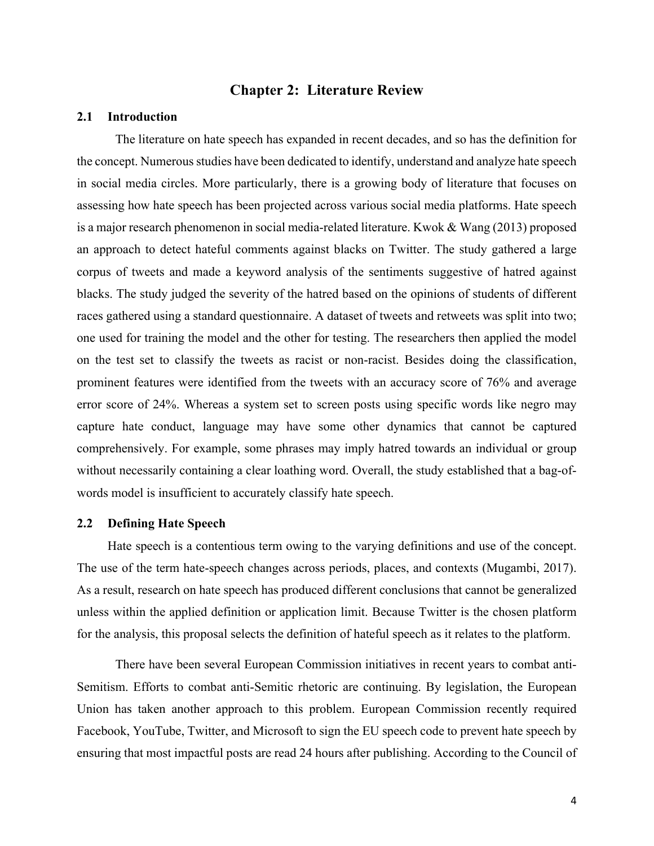## **Chapter 2: Literature Review**

## **2.1 Introduction**

The literature on hate speech has expanded in recent decades, and so has the definition for the concept. Numerous studies have been dedicated to identify, understand and analyze hate speech in social media circles. More particularly, there is a growing body of literature that focuses on assessing how hate speech has been projected across various social media platforms. Hate speech is a major research phenomenon in social media-related literature. Kwok & Wang (2013) proposed an approach to detect hateful comments against blacks on Twitter. The study gathered a large corpus of tweets and made a keyword analysis of the sentiments suggestive of hatred against blacks. The study judged the severity of the hatred based on the opinions of students of different races gathered using a standard questionnaire. A dataset of tweets and retweets was split into two; one used for training the model and the other for testing. The researchers then applied the model on the test set to classify the tweets as racist or non-racist. Besides doing the classification, prominent features were identified from the tweets with an accuracy score of 76% and average error score of 24%. Whereas a system set to screen posts using specific words like negro may capture hate conduct, language may have some other dynamics that cannot be captured comprehensively. For example, some phrases may imply hatred towards an individual or group without necessarily containing a clear loathing word. Overall, the study established that a bag-ofwords model is insufficient to accurately classify hate speech.

## **2.2 Defining Hate Speech**

Hate speech is a contentious term owing to the varying definitions and use of the concept. The use of the term hate-speech changes across periods, places, and contexts (Mugambi, 2017). As a result, research on hate speech has produced different conclusions that cannot be generalized unless within the applied definition or application limit. Because Twitter is the chosen platform for the analysis, this proposal selects the definition of hateful speech as it relates to the platform.

There have been several European Commission initiatives in recent years to combat anti-Semitism. Efforts to combat anti-Semitic rhetoric are continuing. By legislation, the European Union has taken another approach to this problem. European Commission recently required Facebook, YouTube, Twitter, and Microsoft to sign the EU speech code to prevent hate speech by ensuring that most impactful posts are read 24 hours after publishing. According to the Council of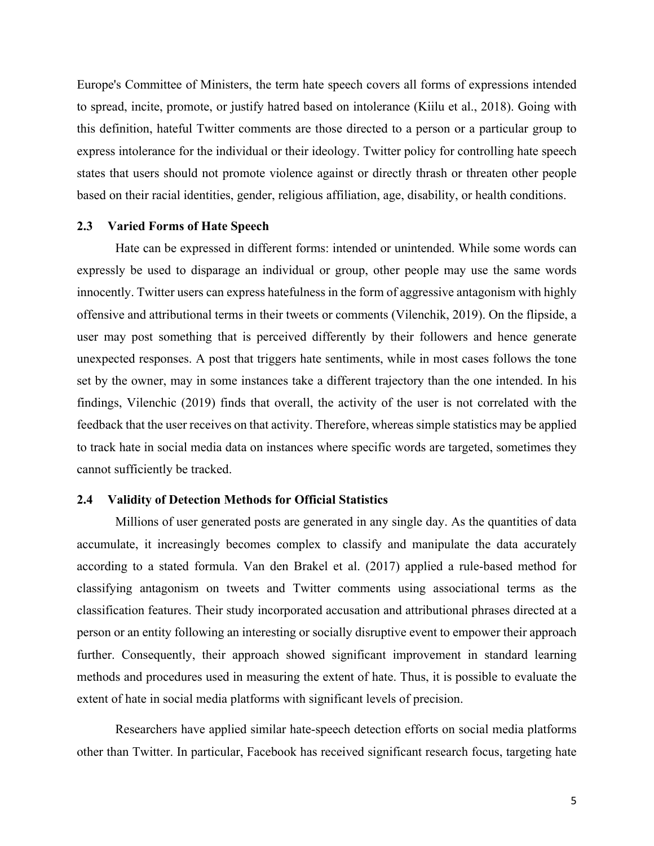Europe's Committee of Ministers, the term hate speech covers all forms of expressions intended to spread, incite, promote, or justify hatred based on intolerance (Kiilu et al., 2018). Going with this definition, hateful Twitter comments are those directed to a person or a particular group to express intolerance for the individual or their ideology. Twitter policy for controlling hate speech states that users should not promote violence against or directly thrash or threaten other people based on their racial identities, gender, religious affiliation, age, disability, or health conditions.

## **2.3 Varied Forms of Hate Speech**

Hate can be expressed in different forms: intended or unintended. While some words can expressly be used to disparage an individual or group, other people may use the same words innocently. Twitter users can express hatefulness in the form of aggressive antagonism with highly offensive and attributional terms in their tweets or comments (Vilenchik, 2019). On the flipside, a user may post something that is perceived differently by their followers and hence generate unexpected responses. A post that triggers hate sentiments, while in most cases follows the tone set by the owner, may in some instances take a different trajectory than the one intended. In his findings, Vilenchic (2019) finds that overall, the activity of the user is not correlated with the feedback that the user receives on that activity. Therefore, whereas simple statistics may be applied to track hate in social media data on instances where specific words are targeted, sometimes they cannot sufficiently be tracked.

## **2.4 Validity of Detection Methods for Official Statistics**

Millions of user generated posts are generated in any single day. As the quantities of data accumulate, it increasingly becomes complex to classify and manipulate the data accurately according to a stated formula. Van den Brakel et al. (2017) applied a rule-based method for classifying antagonism on tweets and Twitter comments using associational terms as the classification features. Their study incorporated accusation and attributional phrases directed at a person or an entity following an interesting or socially disruptive event to empower their approach further. Consequently, their approach showed significant improvement in standard learning methods and procedures used in measuring the extent of hate. Thus, it is possible to evaluate the extent of hate in social media platforms with significant levels of precision.

Researchers have applied similar hate-speech detection efforts on social media platforms other than Twitter. In particular, Facebook has received significant research focus, targeting hate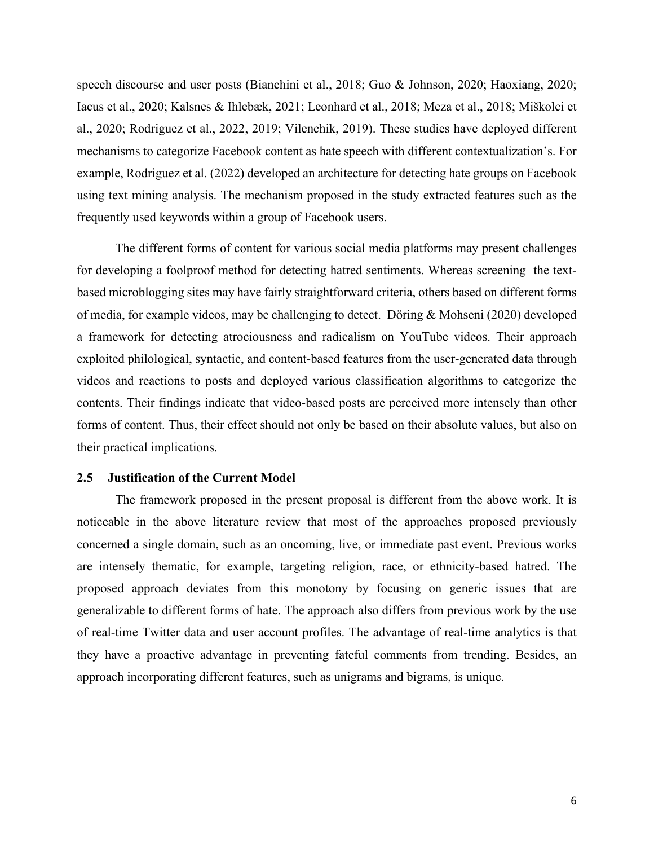speech discourse and user posts (Bianchini et al., 2018; Guo & Johnson, 2020; Haoxiang, 2020; Iacus et al., 2020; Kalsnes & Ihlebæk, 2021; Leonhard et al., 2018; Meza et al., 2018; Miškolci et al., 2020; Rodriguez et al., 2022, 2019; Vilenchik, 2019). These studies have deployed different mechanisms to categorize Facebook content as hate speech with different contextualization's. For example, Rodriguez et al. (2022) developed an architecture for detecting hate groups on Facebook using text mining analysis. The mechanism proposed in the study extracted features such as the frequently used keywords within a group of Facebook users.

The different forms of content for various social media platforms may present challenges for developing a foolproof method for detecting hatred sentiments. Whereas screening the textbased microblogging sites may have fairly straightforward criteria, others based on different forms of media, for example videos, may be challenging to detect. Döring & Mohseni (2020) developed a framework for detecting atrociousness and radicalism on YouTube videos. Their approach exploited philological, syntactic, and content-based features from the user-generated data through videos and reactions to posts and deployed various classification algorithms to categorize the contents. Their findings indicate that video-based posts are perceived more intensely than other forms of content. Thus, their effect should not only be based on their absolute values, but also on their practical implications.

## **2.5 Justification of the Current Model**

The framework proposed in the present proposal is different from the above work. It is noticeable in the above literature review that most of the approaches proposed previously concerned a single domain, such as an oncoming, live, or immediate past event. Previous works are intensely thematic, for example, targeting religion, race, or ethnicity-based hatred. The proposed approach deviates from this monotony by focusing on generic issues that are generalizable to different forms of hate. The approach also differs from previous work by the use of real-time Twitter data and user account profiles. The advantage of real-time analytics is that they have a proactive advantage in preventing fateful comments from trending. Besides, an approach incorporating different features, such as unigrams and bigrams, is unique.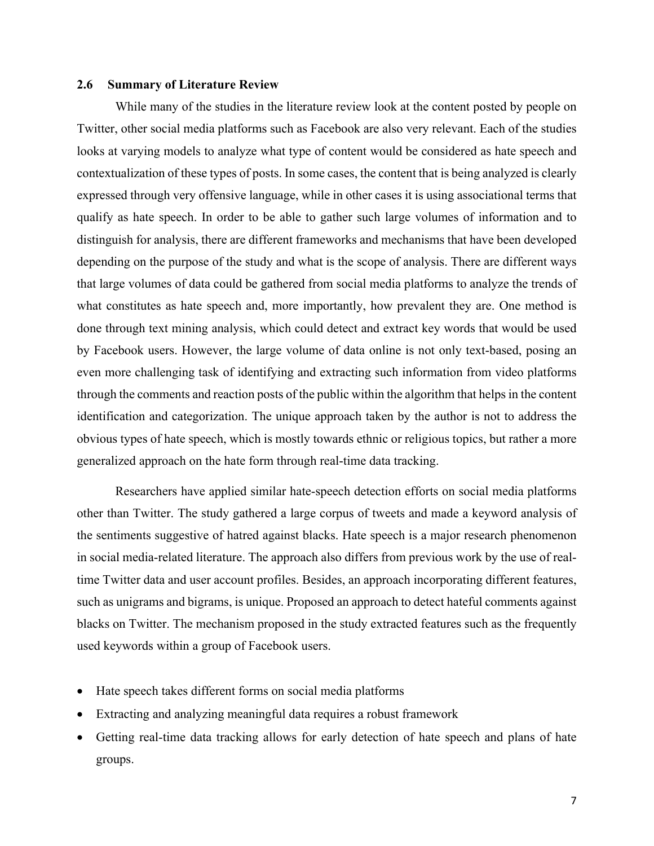## **2.6 Summary of Literature Review**

While many of the studies in the literature review look at the content posted by people on Twitter, other social media platforms such as Facebook are also very relevant. Each of the studies looks at varying models to analyze what type of content would be considered as hate speech and contextualization of these types of posts. In some cases, the content that is being analyzed is clearly expressed through very offensive language, while in other cases it is using associational terms that qualify as hate speech. In order to be able to gather such large volumes of information and to distinguish for analysis, there are different frameworks and mechanisms that have been developed depending on the purpose of the study and what is the scope of analysis. There are different ways that large volumes of data could be gathered from social media platforms to analyze the trends of what constitutes as hate speech and, more importantly, how prevalent they are. One method is done through text mining analysis, which could detect and extract key words that would be used by Facebook users. However, the large volume of data online is not only text-based, posing an even more challenging task of identifying and extracting such information from video platforms through the comments and reaction posts of the public within the algorithm that helps in the content identification and categorization. The unique approach taken by the author is not to address the obvious types of hate speech, which is mostly towards ethnic or religious topics, but rather a more generalized approach on the hate form through real-time data tracking.

Researchers have applied similar hate-speech detection efforts on social media platforms other than Twitter. The study gathered a large corpus of tweets and made a keyword analysis of the sentiments suggestive of hatred against blacks. Hate speech is a major research phenomenon in social media-related literature. The approach also differs from previous work by the use of realtime Twitter data and user account profiles. Besides, an approach incorporating different features, such as unigrams and bigrams, is unique. Proposed an approach to detect hateful comments against blacks on Twitter. The mechanism proposed in the study extracted features such as the frequently used keywords within a group of Facebook users.

- Hate speech takes different forms on social media platforms
- Extracting and analyzing meaningful data requires a robust framework
- Getting real-time data tracking allows for early detection of hate speech and plans of hate groups.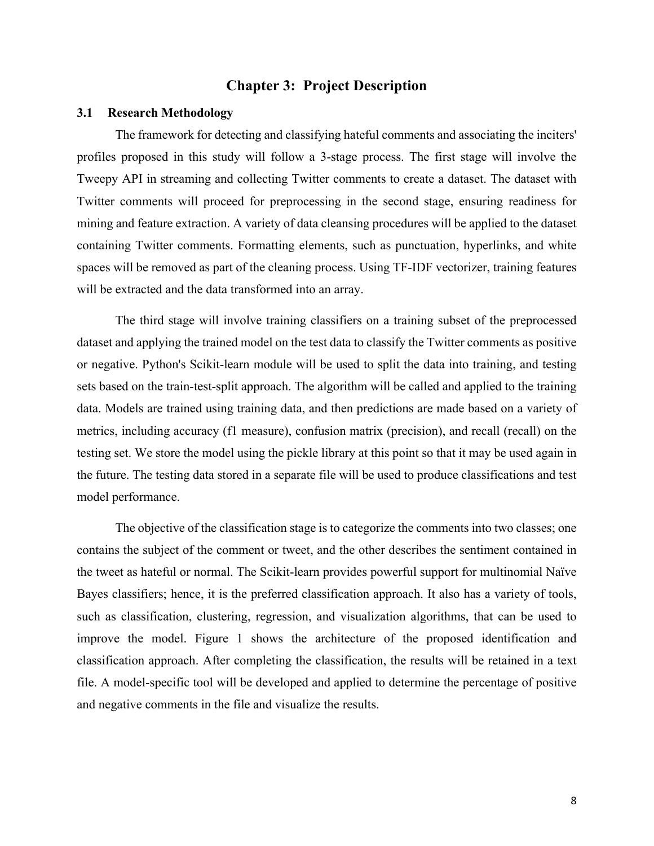## **Chapter 3: Project Description**

#### **3.1 Research Methodology**

The framework for detecting and classifying hateful comments and associating the inciters' profiles proposed in this study will follow a 3-stage process. The first stage will involve the Tweepy API in streaming and collecting Twitter comments to create a dataset. The dataset with Twitter comments will proceed for preprocessing in the second stage, ensuring readiness for mining and feature extraction. A variety of data cleansing procedures will be applied to the dataset containing Twitter comments. Formatting elements, such as punctuation, hyperlinks, and white spaces will be removed as part of the cleaning process. Using TF-IDF vectorizer, training features will be extracted and the data transformed into an array.

The third stage will involve training classifiers on a training subset of the preprocessed dataset and applying the trained model on the test data to classify the Twitter comments as positive or negative. Python's Scikit-learn module will be used to split the data into training, and testing sets based on the train-test-split approach. The algorithm will be called and applied to the training data. Models are trained using training data, and then predictions are made based on a variety of metrics, including accuracy (f1 measure), confusion matrix (precision), and recall (recall) on the testing set. We store the model using the pickle library at this point so that it may be used again in the future. The testing data stored in a separate file will be used to produce classifications and test model performance.

The objective of the classification stage is to categorize the comments into two classes; one contains the subject of the comment or tweet, and the other describes the sentiment contained in the tweet as hateful or normal. The Scikit-learn provides powerful support for multinomial Naïve Bayes classifiers; hence, it is the preferred classification approach. It also has a variety of tools, such as classification, clustering, regression, and visualization algorithms, that can be used to improve the model. Figure 1 shows the architecture of the proposed identification and classification approach. After completing the classification, the results will be retained in a text file. A model-specific tool will be developed and applied to determine the percentage of positive and negative comments in the file and visualize the results.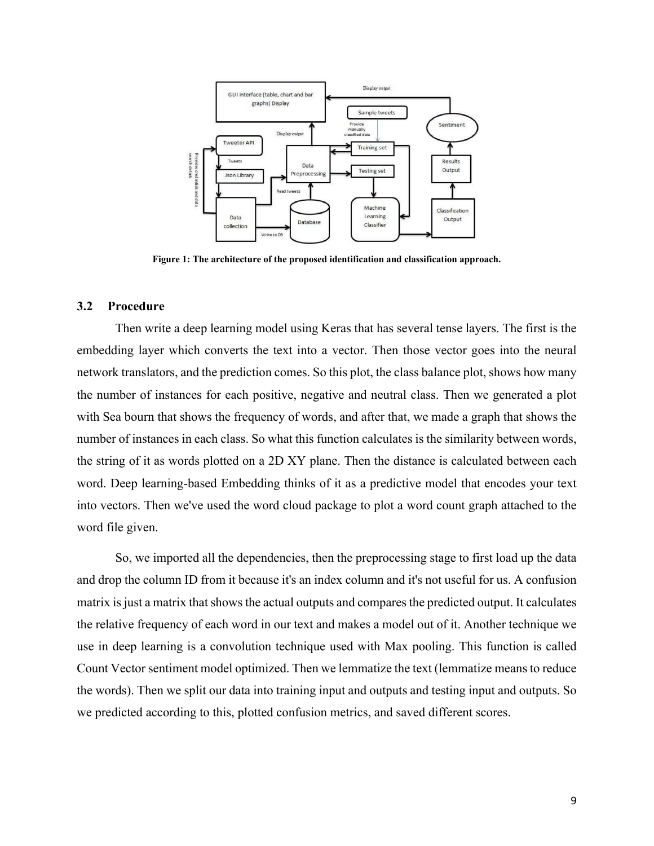

**Figure 1: The architecture of the proposed identification and classification approach.**

## **3.2 Procedure**

Then write a deep learning model using Keras that has several tense layers. The first is the embedding layer which converts the text into a vector. Then those vector goes into the neural network translators, and the prediction comes. So this plot, the class balance plot, shows how many the number of instances for each positive, negative and neutral class. Then we generated a plot with Sea bourn that shows the frequency of words, and after that, we made a graph that shows the number of instances in each class. So what this function calculates is the similarity between words, the string of it as words plotted on a 2D XY plane. Then the distance is calculated between each word. Deep learning-based Embedding thinks of it as a predictive model that encodes your text into vectors. Then we've used the word cloud package to plot a word count graph attached to the word file given.

So, we imported all the dependencies, then the preprocessing stage to first load up the data and drop the column ID from it because it's an index column and it's not useful for us. A confusion matrix is just a matrix that shows the actual outputs and compares the predicted output. It calculates the relative frequency of each word in our text and makes a model out of it. Another technique we use in deep learning is a convolution technique used with Max pooling. This function is called Count Vector sentiment model optimized. Then we lemmatize the text (lemmatize means to reduce the words). Then we split our data into training input and outputs and testing input and outputs. So we predicted according to this, plotted confusion metrics, and saved different scores.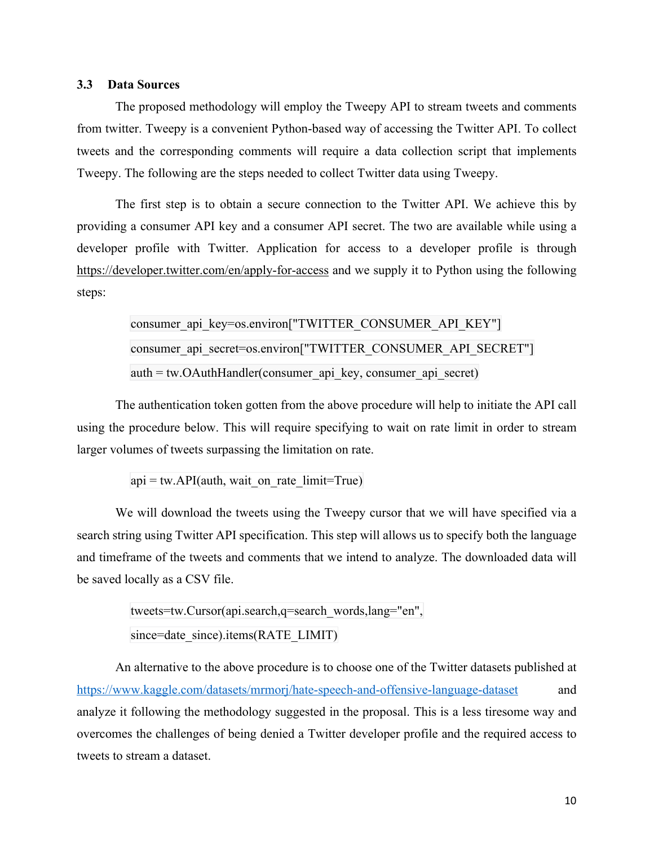## **3.3 Data Sources**

The proposed methodology will employ the Tweepy API to stream tweets and comments from twitter. Tweepy is a convenient Python-based way of accessing the Twitter API. To collect tweets and the corresponding comments will require a data collection script that implements Tweepy. The following are the steps needed to collect Twitter data using Tweepy.

The first step is to obtain a secure connection to the Twitter API. We achieve this by providing a consumer API key and a consumer API secret. The two are available while using a developer profile with Twitter. Application for access to a developer profile is through https://developer.twitter.com/en/apply-for-access and we supply it to Python using the following steps:

> consumer api\_key=os.environ["TWITTER\_CONSUMER\_API\_KEY"] consumer api\_secret=os.environ["TWITTER\_CONSUMER\_API\_SECRET"]  $auth = tw.OAuthHandler$ (consumer api key, consumer api secret)

The authentication token gotten from the above procedure will help to initiate the API call using the procedure below. This will require specifying to wait on rate limit in order to stream larger volumes of tweets surpassing the limitation on rate.

 $api = tw.API(auth, wait on rate limit=True)$ 

We will download the tweets using the Tweepy cursor that we will have specified via a search string using Twitter API specification. This step will allows us to specify both the language and timeframe of the tweets and comments that we intend to analyze. The downloaded data will be saved locally as a CSV file.

```
tweets=tw.Cursor(api.search,q=search_words,lang="en",
since=date_since).items(RATE_LIMIT)
```
An alternative to the above procedure is to choose one of the Twitter datasets published at https://www.kaggle.com/datasets/mrmorj/hate-speech-and-offensive-language-dataset and analyze it following the methodology suggested in the proposal. This is a less tiresome way and overcomes the challenges of being denied a Twitter developer profile and the required access to tweets to stream a dataset.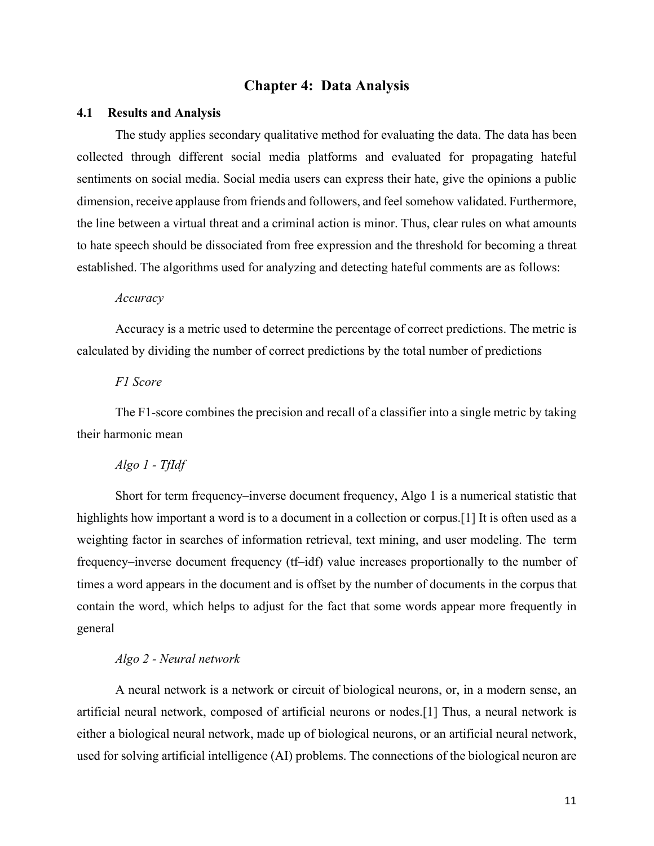## **Chapter 4: Data Analysis**

#### **4.1 Results and Analysis**

The study applies secondary qualitative method for evaluating the data. The data has been collected through different social media platforms and evaluated for propagating hateful sentiments on social media. Social media users can express their hate, give the opinions a public dimension, receive applause from friends and followers, and feel somehow validated. Furthermore, the line between a virtual threat and a criminal action is minor. Thus, clear rules on what amounts to hate speech should be dissociated from free expression and the threshold for becoming a threat established. The algorithms used for analyzing and detecting hateful comments are as follows:

#### *Accuracy*

Accuracy is a metric used to determine the percentage of correct predictions. The metric is calculated by dividing the number of correct predictions by the total number of predictions

## *F1 Score*

The F1-score combines the precision and recall of a classifier into a single metric by taking their harmonic mean

## *Algo 1 - TfIdf*

Short for term frequency–inverse document frequency, Algo 1 is a numerical statistic that highlights how important a word is to a document in a collection or corpus.<sup>[1]</sup> It is often used as a weighting factor in searches of information retrieval, text mining, and user modeling. The term frequency–inverse document frequency (tf–idf) value increases proportionally to the number of times a word appears in the document and is offset by the number of documents in the corpus that contain the word, which helps to adjust for the fact that some words appear more frequently in general

## *Algo 2 - Neural network*

A neural network is a network or circuit of biological neurons, or, in a modern sense, an artificial neural network, composed of artificial neurons or nodes.[1] Thus, a neural network is either a biological neural network, made up of biological neurons, or an artificial neural network, used for solving artificial intelligence (AI) problems. The connections of the biological neuron are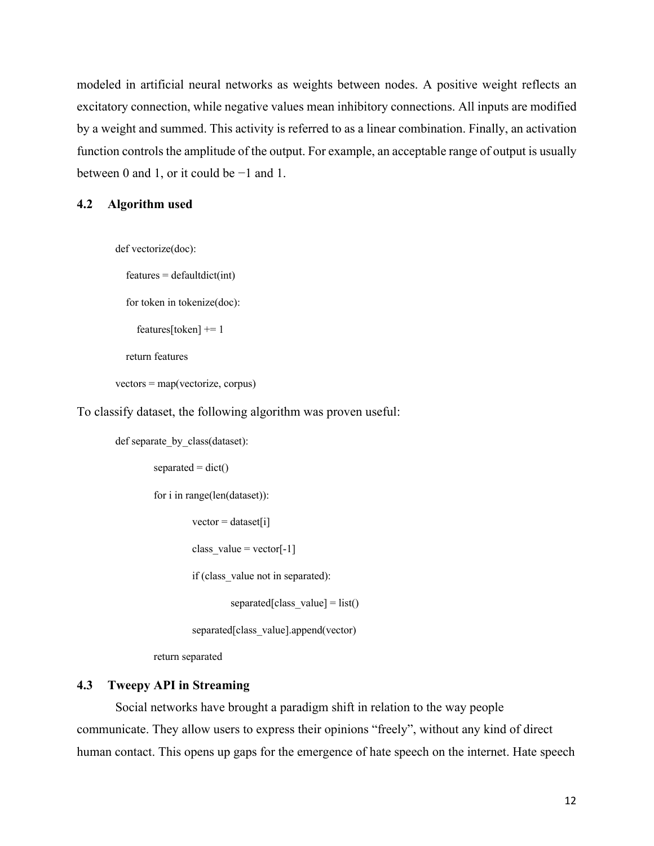modeled in artificial neural networks as weights between nodes. A positive weight reflects an excitatory connection, while negative values mean inhibitory connections. All inputs are modified by a weight and summed. This activity is referred to as a linear combination. Finally, an activation function controls the amplitude of the output. For example, an acceptable range of output is usually between 0 and 1, or it could be −1 and 1.

#### **4.2 Algorithm used**

def vectorize(doc):

 $features = defaultdict(int)$ 

for token in tokenize(doc):

```
 features[token] += 1
```
return features

vectors = map(vectorize, corpus)

To classify dataset, the following algorithm was proven useful:

def separate by class(dataset):  $separated = dict()$ 

for i in range(len(dataset)):

 $vector = dataset[i]$ 

class\_value = vector $[-1]$ 

if (class\_value not in separated):

separated [class value] = list()

separated[class\_value].append(vector)

return separated

## **4.3 Tweepy API in Streaming**

Social networks have brought a paradigm shift in relation to the way people communicate. They allow users to express their opinions "freely", without any kind of direct human contact. This opens up gaps for the emergence of hate speech on the internet. Hate speech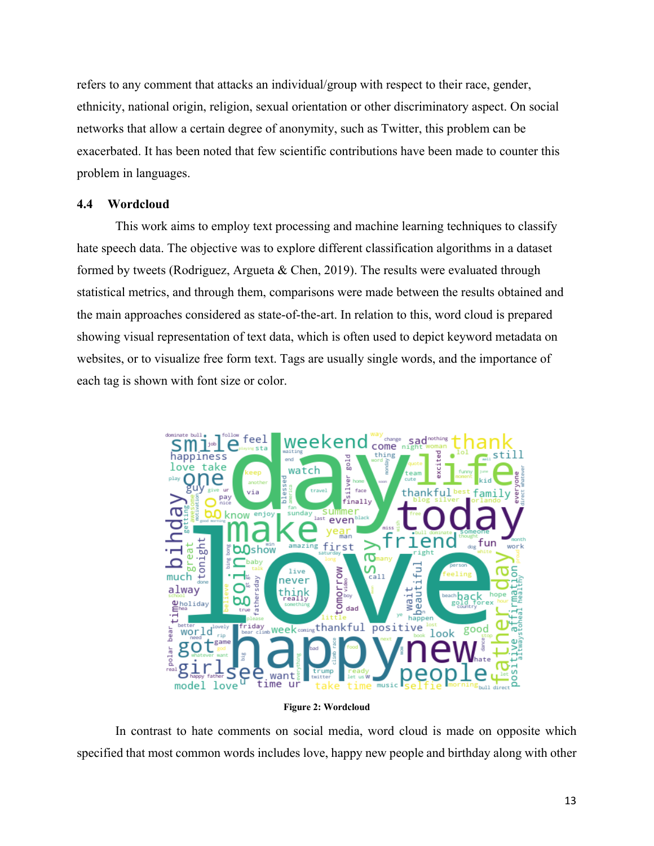refers to any comment that attacks an individual/group with respect to their race, gender, ethnicity, national origin, religion, sexual orientation or other discriminatory aspect. On social networks that allow a certain degree of anonymity, such as Twitter, this problem can be exacerbated. It has been noted that few scientific contributions have been made to counter this problem in languages.

## **4.4 Wordcloud**

This work aims to employ text processing and machine learning techniques to classify hate speech data. The objective was to explore different classification algorithms in a dataset formed by tweets (Rodriguez, Argueta & Chen, 2019). The results were evaluated through statistical metrics, and through them, comparisons were made between the results obtained and the main approaches considered as state-of-the-art. In relation to this, word cloud is prepared showing visual representation of text data, which is often used to depict keyword metadata on websites, or to visualize free form text. Tags are usually single words, and the importance of each tag is shown with font size or color.



**Figure 2: Wordcloud**

In contrast to hate comments on social media, word cloud is made on opposite which specified that most common words includes love, happy new people and birthday along with other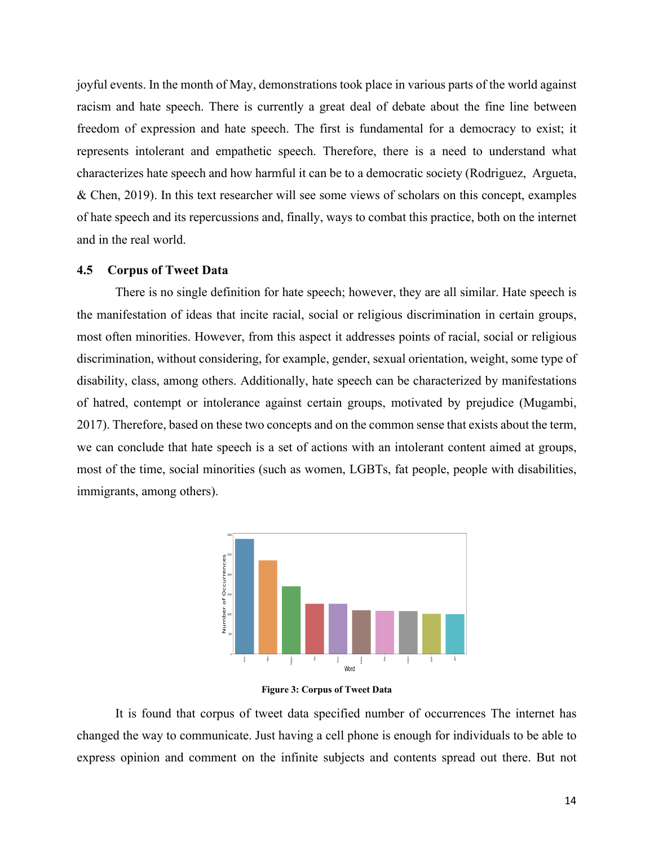joyful events. In the month of May, demonstrations took place in various parts of the world against racism and hate speech. There is currently a great deal of debate about the fine line between freedom of expression and hate speech. The first is fundamental for a democracy to exist; it represents intolerant and empathetic speech. Therefore, there is a need to understand what characterizes hate speech and how harmful it can be to a democratic society (Rodriguez, Argueta, & Chen, 2019). In this text researcher will see some views of scholars on this concept, examples of hate speech and its repercussions and, finally, ways to combat this practice, both on the internet and in the real world.

## **4.5 Corpus of Tweet Data**

There is no single definition for hate speech; however, they are all similar. Hate speech is the manifestation of ideas that incite racial, social or religious discrimination in certain groups, most often minorities. However, from this aspect it addresses points of racial, social or religious discrimination, without considering, for example, gender, sexual orientation, weight, some type of disability, class, among others. Additionally, hate speech can be characterized by manifestations of hatred, contempt or intolerance against certain groups, motivated by prejudice (Mugambi, 2017). Therefore, based on these two concepts and on the common sense that exists about the term, we can conclude that hate speech is a set of actions with an intolerant content aimed at groups, most of the time, social minorities (such as women, LGBTs, fat people, people with disabilities, immigrants, among others).



**Figure 3: Corpus of Tweet Data**

It is found that corpus of tweet data specified number of occurrences The internet has changed the way to communicate. Just having a cell phone is enough for individuals to be able to express opinion and comment on the infinite subjects and contents spread out there. But not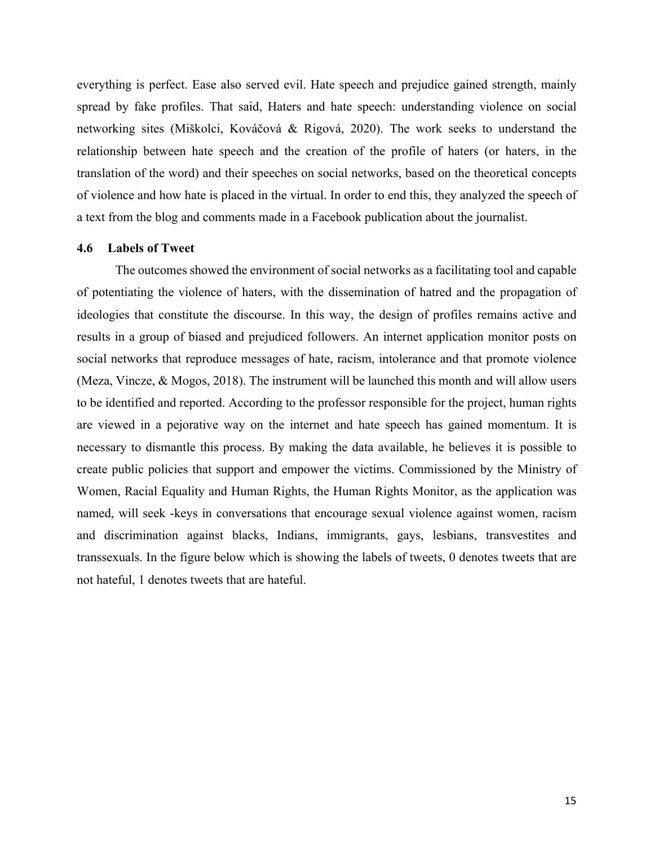everything is perfect. Ease also served evil. Hate speech and prejudice gained strength, mainly spread by fake profiles. That said, Haters and hate speech: understanding violence on social networking sites (Miškolci, Kováčová & Rigová, 2020). The work seeks to understand the relationship between hate speech and the creation of the profile of haters (or haters, in the translation of the word) and their speeches on social networks, based on the theoretical concepts of violence and how hate is placed in the virtual. In order to end this, they analyzed the speech of a text from the blog and comments made in a Facebook publication about the journalist.

### **4.6 Labels of Tweet**

The outcomes showed the environment of social networks as a facilitating tool and capable of potentiating the violence of haters, with the dissemination of hatred and the propagation of ideologies that constitute the discourse. In this way, the design of profiles remains active and results in a group of biased and prejudiced followers. An internet application monitor posts on social networks that reproduce messages of hate, racism, intolerance and that promote violence (Meza, Vincze, & Mogos, 2018). The instrument will be launched this month and will allow users to be identified and reported. According to the professor responsible for the project, human rights are viewed in a pejorative way on the internet and hate speech has gained momentum. It is necessary to dismantle this process. By making the data available, he believes it is possible to create public policies that support and empower the victims. Commissioned by the Ministry of Women, Racial Equality and Human Rights, the Human Rights Monitor, as the application was named, will seek -keys in conversations that encourage sexual violence against women, racism and discrimination against blacks, Indians, immigrants, gays, lesbians, transvestites and transsexuals. In the figure below which is showing the labels of tweets, 0 denotes tweets that are not hateful, 1 denotes tweets that are hateful.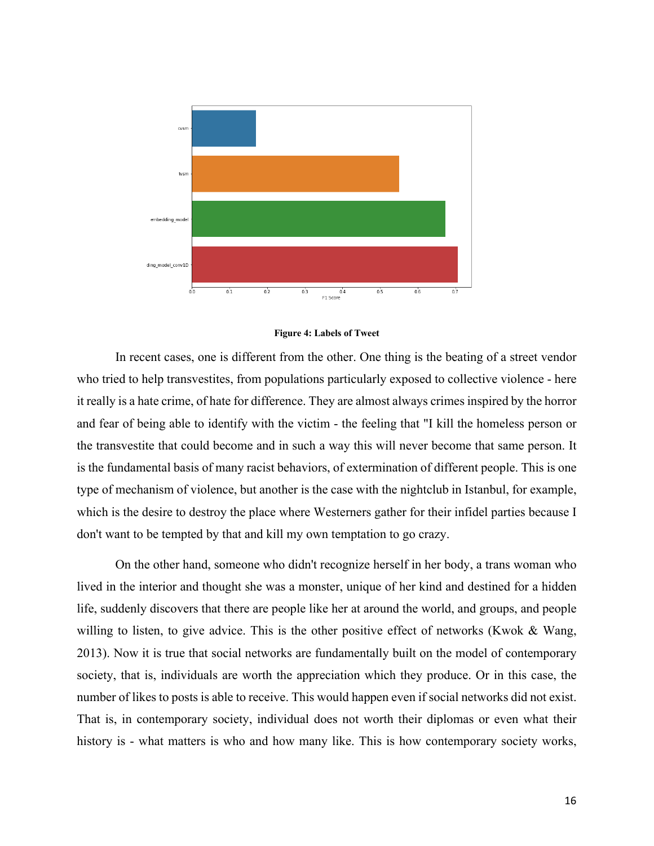

#### **Figure 4: Labels of Tweet**

In recent cases, one is different from the other. One thing is the beating of a street vendor who tried to help transvestites, from populations particularly exposed to collective violence - here it really is a hate crime, of hate for difference. They are almost always crimes inspired by the horror and fear of being able to identify with the victim - the feeling that "I kill the homeless person or the transvestite that could become and in such a way this will never become that same person. It is the fundamental basis of many racist behaviors, of extermination of different people. This is one type of mechanism of violence, but another is the case with the nightclub in Istanbul, for example, which is the desire to destroy the place where Westerners gather for their infidel parties because I don't want to be tempted by that and kill my own temptation to go crazy.

On the other hand, someone who didn't recognize herself in her body, a trans woman who lived in the interior and thought she was a monster, unique of her kind and destined for a hidden life, suddenly discovers that there are people like her at around the world, and groups, and people willing to listen, to give advice. This is the other positive effect of networks (Kwok & Wang, 2013). Now it is true that social networks are fundamentally built on the model of contemporary society, that is, individuals are worth the appreciation which they produce. Or in this case, the number of likes to posts is able to receive. This would happen even if social networks did not exist. That is, in contemporary society, individual does not worth their diplomas or even what their history is - what matters is who and how many like. This is how contemporary society works,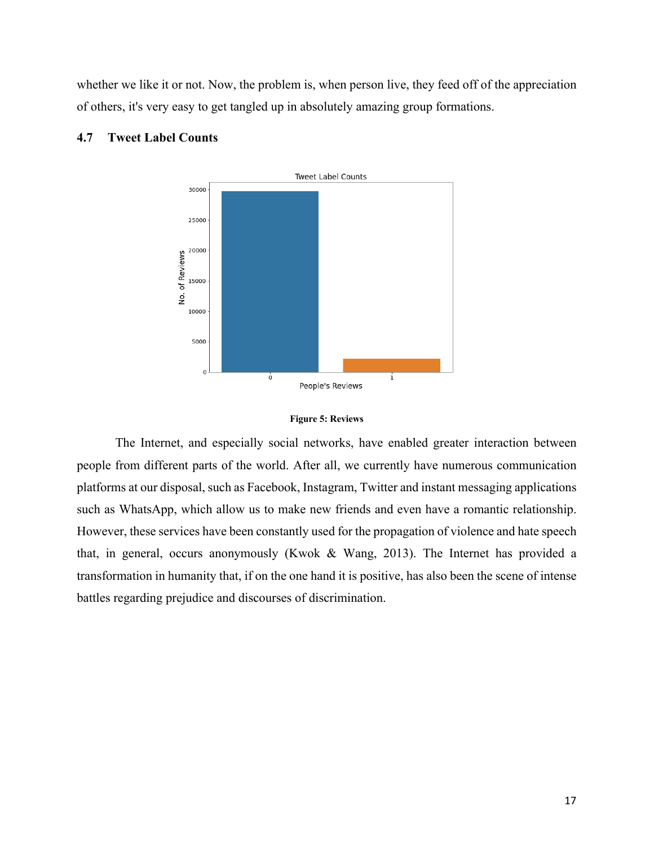whether we like it or not. Now, the problem is, when person live, they feed off of the appreciation of others, it's very easy to get tangled up in absolutely amazing group formations.



## **4.7 Tweet Label Counts**



The Internet, and especially social networks, have enabled greater interaction between people from different parts of the world. After all, we currently have numerous communication platforms at our disposal, such as Facebook, Instagram, Twitter and instant messaging applications such as WhatsApp, which allow us to make new friends and even have a romantic relationship. However, these services have been constantly used for the propagation of violence and hate speech that, in general, occurs anonymously (Kwok & Wang, 2013). The Internet has provided a transformation in humanity that, if on the one hand it is positive, has also been the scene of intense battles regarding prejudice and discourses of discrimination.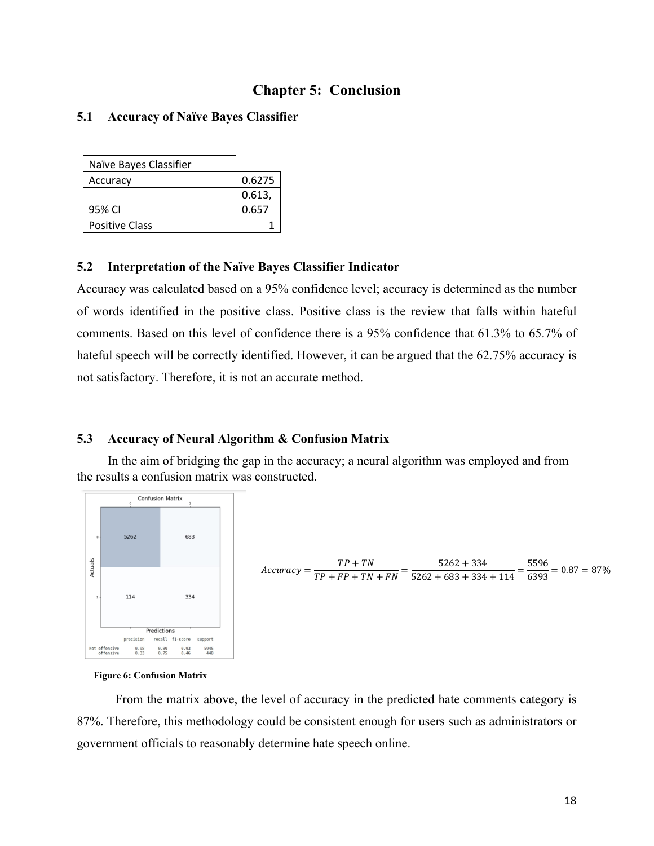## **Chapter 5: Conclusion**

## **5.1 Accuracy of Naïve Bayes Classifier**

| Naïve Bayes Classifier |        |
|------------------------|--------|
| Accuracy               | 0.6275 |
|                        | 0.613, |
| 95% CI                 | 0.657  |
| <b>Positive Class</b>  |        |

## **5.2 Interpretation of the Naïve Bayes Classifier Indicator**

Accuracy was calculated based on a 95% confidence level; accuracy is determined as the number of words identified in the positive class. Positive class is the review that falls within hateful comments. Based on this level of confidence there is a 95% confidence that 61.3% to 65.7% of hateful speech will be correctly identified. However, it can be argued that the 62.75% accuracy is not satisfactory. Therefore, it is not an accurate method.

## **5.3 Accuracy of Neural Algorithm & Confusion Matrix**

In the aim of bridging the gap in the accuracy; a neural algorithm was employed and from the results a confusion matrix was constructed.



$$
Accuracy = \frac{TP + TN}{TP + FP + TN + FN} = \frac{5262 + 334}{5262 + 683 + 334 + 114} = \frac{5596}{6393} = 0.87 = 87\%
$$

#### **Figure 6: Confusion Matrix**

From the matrix above, the level of accuracy in the predicted hate comments category is 87%. Therefore, this methodology could be consistent enough for users such as administrators or government officials to reasonably determine hate speech online.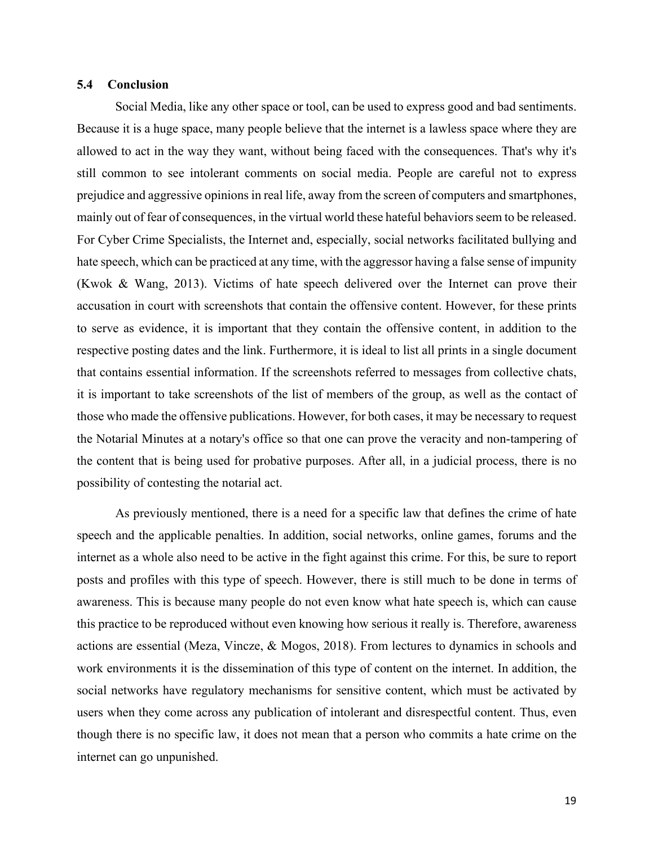## **5.4 Conclusion**

Social Media, like any other space or tool, can be used to express good and bad sentiments. Because it is a huge space, many people believe that the internet is a lawless space where they are allowed to act in the way they want, without being faced with the consequences. That's why it's still common to see intolerant comments on social media. People are careful not to express prejudice and aggressive opinions in real life, away from the screen of computers and smartphones, mainly out of fear of consequences, in the virtual world these hateful behaviors seem to be released. For Cyber Crime Specialists, the Internet and, especially, social networks facilitated bullying and hate speech, which can be practiced at any time, with the aggressor having a false sense of impunity (Kwok & Wang, 2013). Victims of hate speech delivered over the Internet can prove their accusation in court with screenshots that contain the offensive content. However, for these prints to serve as evidence, it is important that they contain the offensive content, in addition to the respective posting dates and the link. Furthermore, it is ideal to list all prints in a single document that contains essential information. If the screenshots referred to messages from collective chats, it is important to take screenshots of the list of members of the group, as well as the contact of those who made the offensive publications. However, for both cases, it may be necessary to request the Notarial Minutes at a notary's office so that one can prove the veracity and non-tampering of the content that is being used for probative purposes. After all, in a judicial process, there is no possibility of contesting the notarial act.

As previously mentioned, there is a need for a specific law that defines the crime of hate speech and the applicable penalties. In addition, social networks, online games, forums and the internet as a whole also need to be active in the fight against this crime. For this, be sure to report posts and profiles with this type of speech. However, there is still much to be done in terms of awareness. This is because many people do not even know what hate speech is, which can cause this practice to be reproduced without even knowing how serious it really is. Therefore, awareness actions are essential (Meza, Vincze, & Mogos, 2018). From lectures to dynamics in schools and work environments it is the dissemination of this type of content on the internet. In addition, the social networks have regulatory mechanisms for sensitive content, which must be activated by users when they come across any publication of intolerant and disrespectful content. Thus, even though there is no specific law, it does not mean that a person who commits a hate crime on the internet can go unpunished.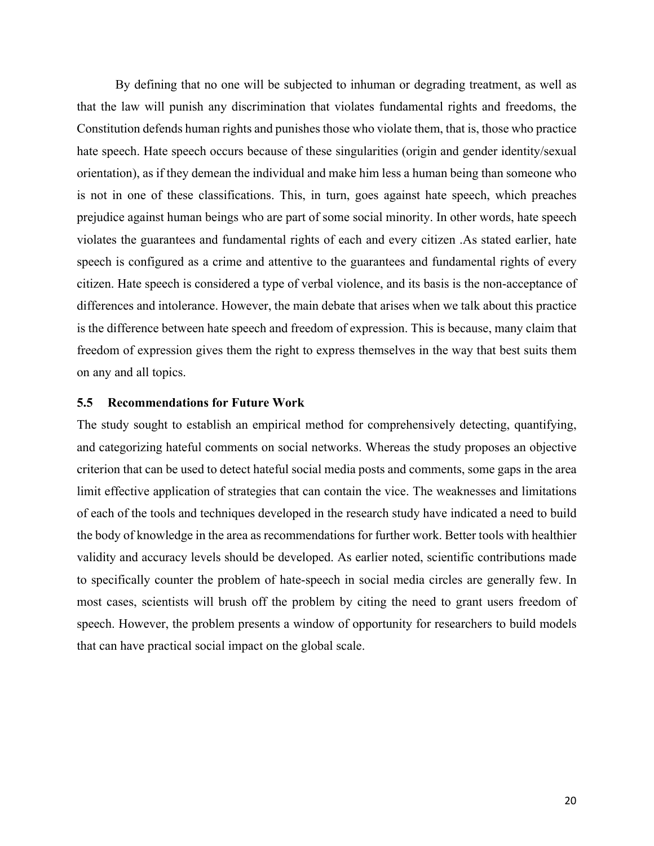By defining that no one will be subjected to inhuman or degrading treatment, as well as that the law will punish any discrimination that violates fundamental rights and freedoms, the Constitution defends human rights and punishes those who violate them, that is, those who practice hate speech. Hate speech occurs because of these singularities (origin and gender identity/sexual orientation), as if they demean the individual and make him less a human being than someone who is not in one of these classifications. This, in turn, goes against hate speech, which preaches prejudice against human beings who are part of some social minority. In other words, hate speech violates the guarantees and fundamental rights of each and every citizen .As stated earlier, hate speech is configured as a crime and attentive to the guarantees and fundamental rights of every citizen. Hate speech is considered a type of verbal violence, and its basis is the non-acceptance of differences and intolerance. However, the main debate that arises when we talk about this practice is the difference between hate speech and freedom of expression. This is because, many claim that freedom of expression gives them the right to express themselves in the way that best suits them on any and all topics.

### **5.5 Recommendations for Future Work**

The study sought to establish an empirical method for comprehensively detecting, quantifying, and categorizing hateful comments on social networks. Whereas the study proposes an objective criterion that can be used to detect hateful social media posts and comments, some gaps in the area limit effective application of strategies that can contain the vice. The weaknesses and limitations of each of the tools and techniques developed in the research study have indicated a need to build the body of knowledge in the area as recommendations for further work. Better tools with healthier validity and accuracy levels should be developed. As earlier noted, scientific contributions made to specifically counter the problem of hate-speech in social media circles are generally few. In most cases, scientists will brush off the problem by citing the need to grant users freedom of speech. However, the problem presents a window of opportunity for researchers to build models that can have practical social impact on the global scale.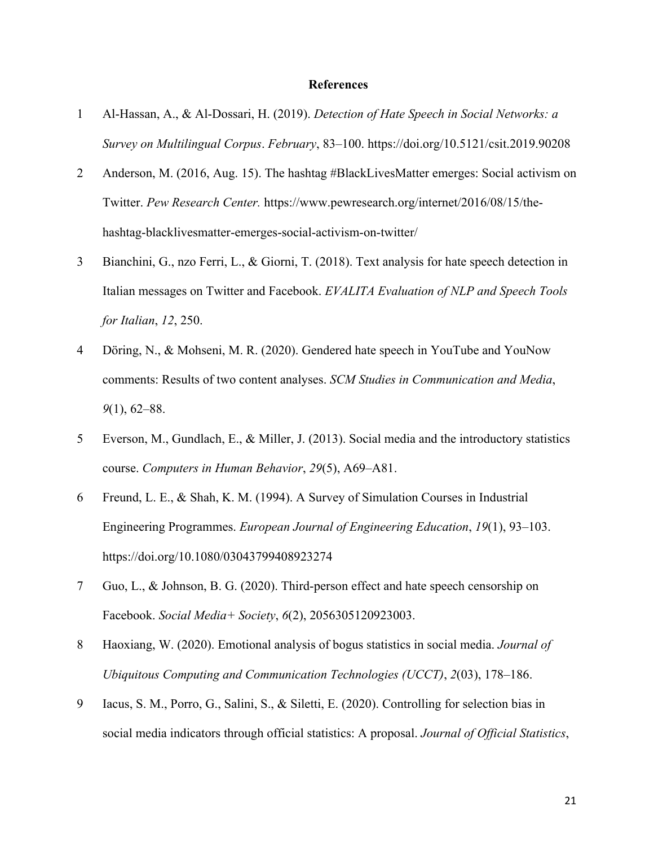### **References**

- 1 Al-Hassan, A., & Al-Dossari, H. (2019). *Detection of Hate Speech in Social Networks: a Survey on Multilingual Corpus*. *February*, 83–100. https://doi.org/10.5121/csit.2019.90208
- 2 Anderson, M. (2016, Aug. 15). The hashtag #BlackLivesMatter emerges: Social activism on Twitter. *Pew Research Center.* https://www.pewresearch.org/internet/2016/08/15/thehashtag-blacklivesmatter-emerges-social-activism-on-twitter/
- 3 Bianchini, G., nzo Ferri, L., & Giorni, T. (2018). Text analysis for hate speech detection in Italian messages on Twitter and Facebook. *EVALITA Evaluation of NLP and Speech Tools for Italian*, *12*, 250.
- 4 Döring, N., & Mohseni, M. R. (2020). Gendered hate speech in YouTube and YouNow comments: Results of two content analyses. *SCM Studies in Communication and Media*, *9*(1), 62–88.
- 5 Everson, M., Gundlach, E., & Miller, J. (2013). Social media and the introductory statistics course. *Computers in Human Behavior*, *29*(5), A69–A81.
- 6 Freund, L. E., & Shah, K. M. (1994). A Survey of Simulation Courses in Industrial Engineering Programmes. *European Journal of Engineering Education*, *19*(1), 93–103. https://doi.org/10.1080/03043799408923274
- 7 Guo, L., & Johnson, B. G. (2020). Third-person effect and hate speech censorship on Facebook. *Social Media+ Society*, *6*(2), 2056305120923003.
- 8 Haoxiang, W. (2020). Emotional analysis of bogus statistics in social media. *Journal of Ubiquitous Computing and Communication Technologies (UCCT)*, *2*(03), 178–186.
- 9 Iacus, S. M., Porro, G., Salini, S., & Siletti, E. (2020). Controlling for selection bias in social media indicators through official statistics: A proposal. *Journal of Official Statistics*,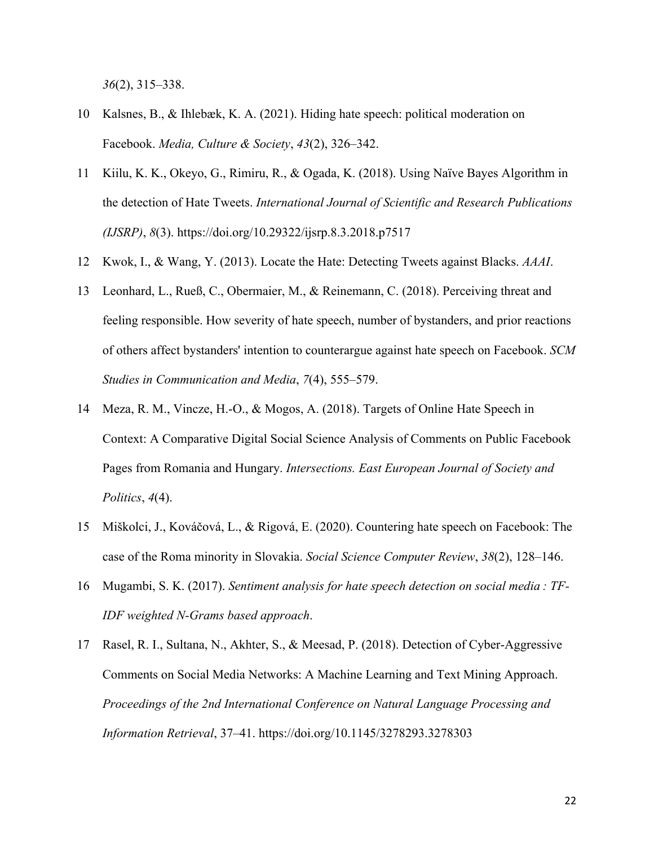*36*(2), 315–338.

- 10 Kalsnes, B., & Ihlebæk, K. A. (2021). Hiding hate speech: political moderation on Facebook. *Media, Culture & Society*, *43*(2), 326–342.
- 11 Kiilu, K. K., Okeyo, G., Rimiru, R., & Ogada, K. (2018). Using Naïve Bayes Algorithm in the detection of Hate Tweets. *International Journal of Scientific and Research Publications (IJSRP)*, *8*(3). https://doi.org/10.29322/ijsrp.8.3.2018.p7517
- 12 Kwok, I., & Wang, Y. (2013). Locate the Hate: Detecting Tweets against Blacks. *AAAI*.
- 13 Leonhard, L., Rueß, C., Obermaier, M., & Reinemann, C. (2018). Perceiving threat and feeling responsible. How severity of hate speech, number of bystanders, and prior reactions of others affect bystanders' intention to counterargue against hate speech on Facebook. *SCM Studies in Communication and Media*, *7*(4), 555–579.
- 14 Meza, R. M., Vincze, H.-O., & Mogos, A. (2018). Targets of Online Hate Speech in Context: A Comparative Digital Social Science Analysis of Comments on Public Facebook Pages from Romania and Hungary. *Intersections. East European Journal of Society and Politics*, *4*(4).
- 15 Miškolci, J., Kováčová, L., & Rigová, E. (2020). Countering hate speech on Facebook: The case of the Roma minority in Slovakia. *Social Science Computer Review*, *38*(2), 128–146.
- 16 Mugambi, S. K. (2017). *Sentiment analysis for hate speech detection on social media : TF-IDF weighted N-Grams based approach*.
- 17 Rasel, R. I., Sultana, N., Akhter, S., & Meesad, P. (2018). Detection of Cyber-Aggressive Comments on Social Media Networks: A Machine Learning and Text Mining Approach. *Proceedings of the 2nd International Conference on Natural Language Processing and Information Retrieval*, 37–41. https://doi.org/10.1145/3278293.3278303